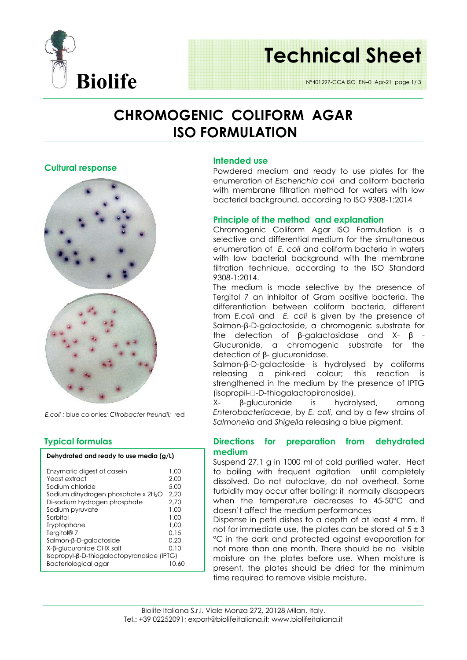

## **Technical Sheet**

N°401297-CCA ISO EN–0 Apr-21 page 1/ 3

### **CHROMOGENIC COLIFORM AGAR ISO FORMULATION**

#### **Cultural response**



*E.coli :* blue colonies*; Citrobacter freundii:* red

#### **Typical formulas**

| Dehydrated and ready to use media (g/L) |  |  |
|-----------------------------------------|--|--|
|                                         |  |  |

| Enzymatic digest of casein<br>Yeast extract     | 1.00<br>2.00 |  |  |  |
|-------------------------------------------------|--------------|--|--|--|
| Sodium chloride                                 | 5.00         |  |  |  |
| Sodium dihydrogen phosphate x 2H <sub>2</sub> O | 2.20         |  |  |  |
| Di-sodium hydrogen phosphate                    | 2.70         |  |  |  |
| Sodium pyruvate                                 | 1.00         |  |  |  |
| Sorbitol                                        | 1.00         |  |  |  |
| Tryptophane                                     | 1.00         |  |  |  |
| Tergitol <sup>®</sup> 7                         | 0.15         |  |  |  |
| Salmon-β-D-galactoside                          | 0.20         |  |  |  |
| X-β-glucuronide CHX salt                        | 0.10         |  |  |  |
| Isopropyl-β-D-thiogalactopyranoside (IPTG)      |              |  |  |  |
| Bacteriological agar                            | 10.60        |  |  |  |

#### **Intended use**

Powdered medium and ready to use plates for the enumeration of *Escherichia coli* and coliform bacteria with membrane filtration method for waters with low bacterial background, according to ISO 9308-1:2014

#### **Principle of the method and explanation**

Chromogenic Coliform Agar ISO Formulation is a selective and differential medium for the simultaneous enumeration of *E. coli* and coliform bacteria in waters with low bacterial background with the membrane filtration technique, according to the ISO Standard 9308-1:2014.

The medium is made selective by the presence of Tergitol 7 an inhibitor of Gram positive bacteria. The differentiation between coliform bacteria, different from *E.coli* and *E. coli* is given by the presence of Salmon-β-D-galactoside, a chromogenic substrate for the detection of β-galactosidase and X- β - Glucuronide, a chromogenic substrate for the detection of β- glucuronidase.

Salmon-β-D-galactoside is hydrolysed by coliforms releasing a pink-red colour; this reaction is strengthened in the medium by the presence of IPTG (isopropil--D-thiogalactopiranoside).

X- β-glucuronide is hydrolysed, among *Enterobacteriaceae*, by *E. coli*, and by a few strains of *Salmonella* and *Shigella* releasing a blue pigment.

#### **Directions for preparation from dehydrated medium**

Suspend 27,1 g in 1000 ml of cold purified water. Heat to boiling with frequent agitation until completely dissolved. Do not autoclave, do not overheat. Some turbidity may occur after boiling; it normally disappears when the temperature decreases to 45-50°C and doesn't affect the medium performances

Dispense in petri dishes to a depth of at least 4 mm. If not for immediate use, the plates can be stored at  $5 \pm 3$ °C in the dark and protected against evaporation for not more than one month. There should be no visible moisture on the plates before use. When moisture is present, the plates should be dried for the minimum time required to remove visible moisture.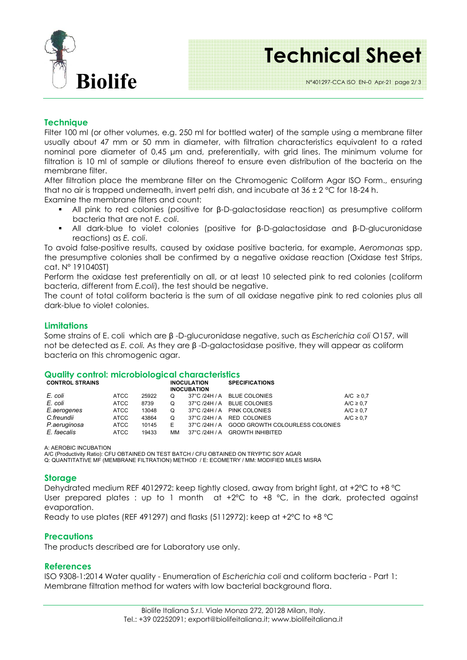

### **Technical Sheet**

#### **Technique**

Filter 100 ml (or other volumes, e.g. 250 ml for bottled water) of the sample using a membrane filter usually about 47 mm or 50 mm in diameter, with filtration characteristics equivalent to a rated nominal pore diameter of 0,45 µm and, preferentially, with grid lines. The minimum volume for filtration is 10 ml of sample or dilutions thereof to ensure even distribution of the bacteria on the membrane filter.

After filtration place the membrane filter on the Chromogenic Coliform Agar ISO Form., ensuring that no air is trapped underneath, invert petri dish, and incubate at  $36 \pm 2$  °C for 18-24 h.

Examine the membrane filters and count:

- All pink to red colonies (positive for β-D-galactosidase reaction) as presumptive coliform bacteria that are not *E. coli*.
- All dark-blue to violet colonies (positive for β-D-galactosidase and β-D-glucuronidase reactions) as *E. coli*.

To avoid false-positive results, caused by oxidase positive bacteria, for example, *Aeromonas* spp, the presumptive colonies shall be confirmed by a negative oxidase reaction (Oxidase test Strips, cat. N° 191040ST)

Perform the oxidase test preferentially on all, or at least 10 selected pink to red colonies (coliform bacteria, different from *E.coli*), the test should be negative.

The count of total coliform bacteria is the sum of all oxidase negative pink to red colonies plus all dark-blue to violet colonies.

#### **Limitations**

Some strains of E. coli which are β -D-glucuronidase negative, such as *Escherichia coli* O157, will not be detected as *E. coli.* As they are β -D-galactosidase positive, they will appear as coliform bacteria on this chromogenic agar.

#### **Quality control: microbiological characteristics**

| <b>CONTROL STRAINS</b> |             |       |    | <b>INOCULATION</b><br><b>INOCUBATION</b> | <b>SPECIFICATIONS</b>           |                |
|------------------------|-------------|-------|----|------------------------------------------|---------------------------------|----------------|
| E. coli                | <b>ATCC</b> | 25922 | O  |                                          | 37°C /24H / A BLUE COLONIES     | A/C $\geq$ 0.7 |
| E. coli                | <b>ATCC</b> | 8739  | O  |                                          | 37°C /24H / A BLUE COLONIES     | A/C $\geq$ 0.7 |
| E.aerogenes            | ATCC        | 13048 | O  |                                          | 37°C /24H / A PINK COLONIES     | A/C $\geq$ 0.7 |
| C.freundii             | ATCC        | 43864 | O  |                                          | 37°C /24H / A RED COLONIES      | A/C $\geq$ 0.7 |
| P.aeruginosa           | <b>ATCC</b> | 10145 | Е  | 37°C /24H / A                            | GOOD GROWTH COLOURLESS COLONIES |                |
| E. faecalis            | ATCC        | 19433 | ΜМ |                                          | 37°C /24H / A GROWTH INHIBITED  |                |

A: AEROBIC INCUBATION

A/C (Productivity Ratio): CFU OBTAINED ON TEST BATCH / CFU OBTAINED ON TRYPTIC SOY AGAR

Q: QUANTITATIVE MF (MEMBRANE FILTRATION) METHOD / E: ECOMETRY / MM: MODIFIED MILES MISRA

#### **Storage**

Dehydrated medium REF 4012972: keep tightly closed, away from bright light, at +2°C to +8 °C User prepared plates : up to 1 month  $at +2^{\circ}C$  to  $+8$  °C, in the dark, protected against evaporation.

Ready to use plates (REF 491297) and flasks (5112972): keep at +2ºC to +8 ºC

#### **Precautions**

The products described are for Laboratory use only.

#### **References**

ISO 9308-1:2014 Water quality - Enumeration of *Escherichia coli* and coliform bacteria - Part 1: Membrane filtration method for waters with low bacterial background flora.